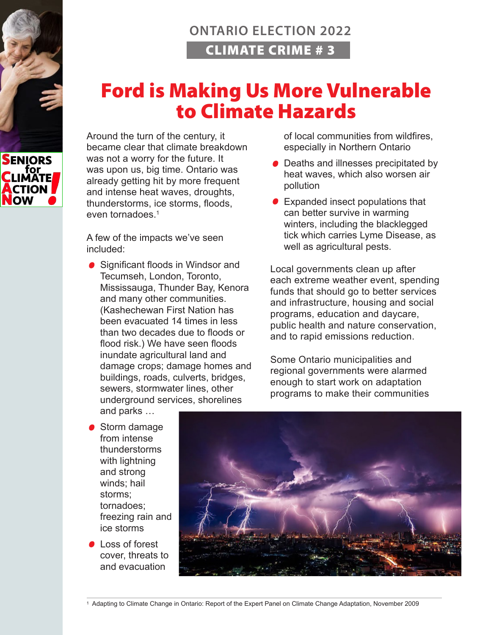## **ONTARIO ELECTION 2022** CLIMATE CRIME # 3

## Ford is Making Us More Vulnerable to Climate Hazards

Around the turn of the century, it became clear that climate breakdown was not a worry for the future. It was upon us, big time. Ontario was already getting hit by more frequent and intense heat waves, droughts, thunderstorms, ice storms, floods, even tornadoes $1$ 

A few of the impacts we've seen included:

● Significant floods in Windsor and Tecumseh, London, Toronto, Mississauga, Thunder Bay, Kenora and many other communities. (Kashechewan First Nation has been evacuated 14 times in less than two decades due to floods or flood risk.) We have seen floods inundate agricultural land and damage crops; damage homes and buildings, roads, culverts, bridges, sewers, stormwater lines, other underground services, shorelines and parks …

of local communities from wildfires, especially in Northern Ontario

- Deaths and illnesses precipitated by heat waves, which also worsen air pollution
- Expanded insect populations that can better survive in warming winters, including the blacklegged tick which carries Lyme Disease, as well as agricultural pests.

Local governments clean up after each extreme weather event, spending funds that should go to better services and infrastructure, housing and social programs, education and daycare, public health and nature conservation, and to rapid emissions reduction.

Some Ontario municipalities and regional governments were alarmed enough to start work on adaptation programs to make their communities

- Storm damage from intense thunderstorms with lightning and strong winds; hail storms; tornadoes; freezing rain and ice storms
- **Loss of forest** cover, threats to and evacuation



1 Adapting to Climate Change in Ontario: Report of the Expert Panel on Climate Change Adaptation, November 2009

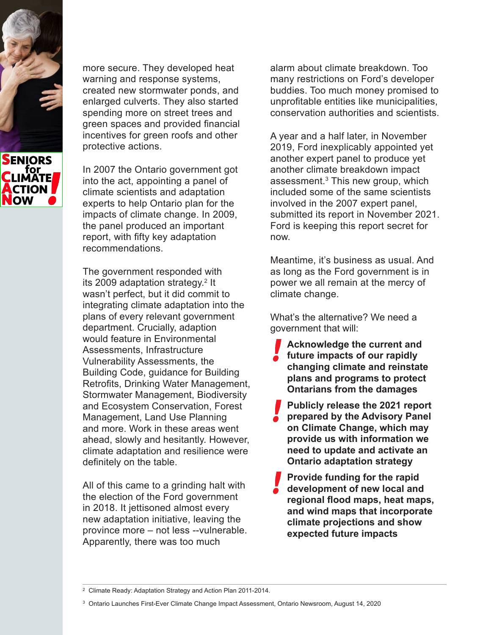

more secure. They developed heat warning and response systems, created new stormwater ponds, and enlarged culverts. They also started spending more on street trees and green spaces and provided financial incentives for green roofs and other protective actions.

In 2007 the Ontario government got into the act, appointing a panel of climate scientists and adaptation experts to help Ontario plan for the impacts of climate change. In 2009, the panel produced an important report, with fifty key adaptation recommendations.

The government responded with its 2009 adaptation strategy.<sup>2</sup> It wasn't perfect, but it did commit to integrating climate adaptation into the plans of every relevant government department. Crucially, adaption would feature in Environmental Assessments, Infrastructure Vulnerability Assessments, the Building Code, guidance for Building Retrofits, Drinking Water Management, Stormwater Management, Biodiversity and Ecosystem Conservation, Forest Management, Land Use Planning and more. Work in these areas went ahead, slowly and hesitantly. However, climate adaptation and resilience were definitely on the table.

All of this came to a grinding halt with the election of the Ford government in 2018. It jettisoned almost every new adaptation initiative, leaving the province more – not less --vulnerable. Apparently, there was too much

alarm about climate breakdown. Too many restrictions on Ford's developer buddies. Too much money promised to unprofitable entities like municipalities, conservation authorities and scientists.

A year and a half later, in November 2019, Ford inexplicably appointed yet another expert panel to produce yet another climate breakdown impact assessment.3 This new group, which included some of the same scientists involved in the 2007 expert panel, submitted its report in November 2021. Ford is keeping this report secret for now.

Meantime, it's business as usual. And as long as the Ford government is in power we all remain at the mercy of climate change.

What's the alternative? We need a government that will:

- **Acknowledge the current and future impacts of our rapidly changing climate and reinstate plans and programs to protect Ontarians from the damages**
- **Publicly release the 2021 report prepared by the Advisory Panel on Climate Change, which may provide us with information we need to update and activate an Ontario adaptation strategy**
- **Provide funding for the rapid development of new local and regional flood maps, heat maps, and wind maps that incorporate climate projections and show expected future impacts**

<sup>2</sup> Climate Ready: Adaptation Strategy and Action Plan 2011-2014.

<sup>3</sup> Ontario Launches First-Ever Climate Change Impact Assessment, Ontario Newsroom, August 14, 2020